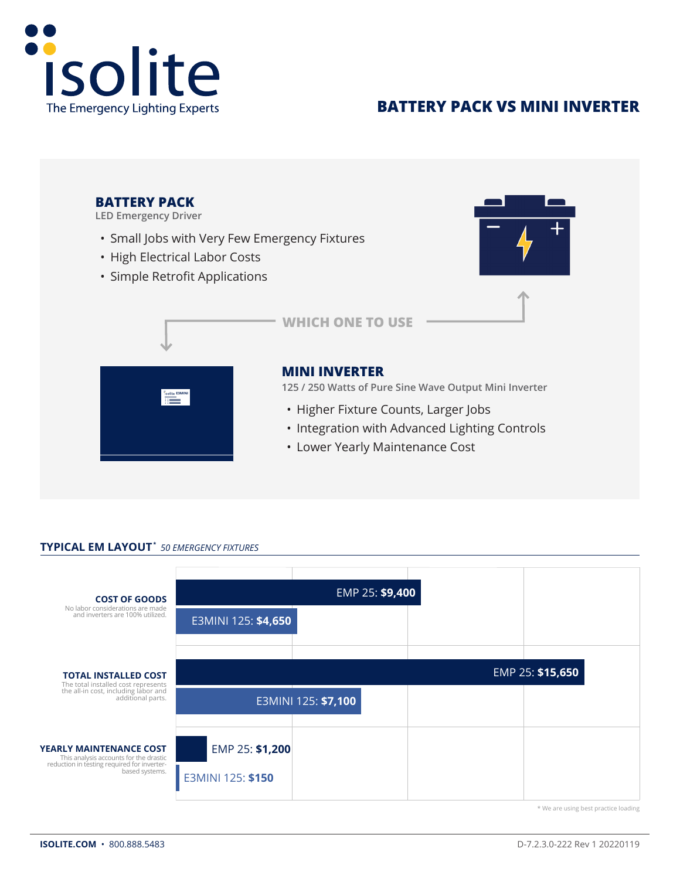

## **BATTERY PACK VS MINI INVERTER**

# **BATTERY PACK MINI INVERTER** • Small Jobs with Very Few Emergency Fixtures • High Electrical Labor Costs • Simple Retrofit Applications **125 / 250 Watts of Pure Sine Wave Output Mini Inverter WHICH ONE TO USE** • Higher Fixture Counts, Larger Jobs • Integration with Advanced Lighting Controls • Lower Yearly Maintenance Cost **LED Emergency Driver E3MINI**

## **TYPICAL EM LAYOUT** *50 EMERGENCY FIXTURES* **\***



\* We are using best practice loading